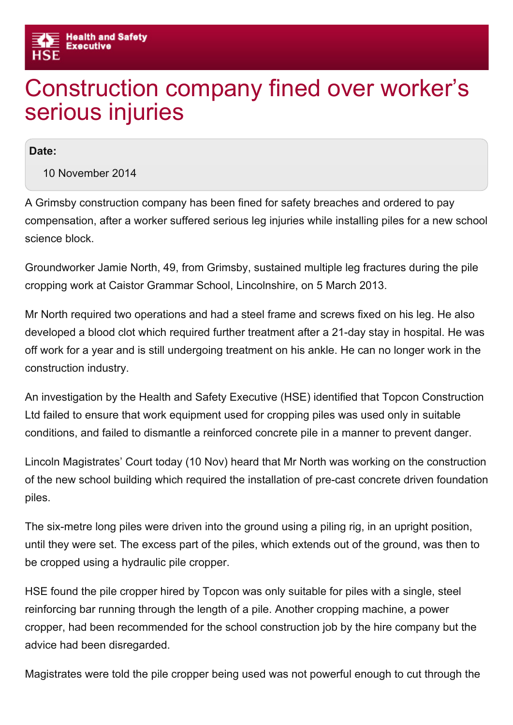

## Construction company fined over worker's serious injuries

Date:

10 November 2014

A Grimsby construction company has been fined for safety breaches and ordered to pay compensation, after a worker suffered serious leg injuries while installing piles for a new school science block.

Groundworker Jamie North, 49, from Grimsby, sustained multiple leg fractures during the pile cropping work at Caistor Grammar School, Lincolnshire, on 5 March 2013.

Mr North required two operations and had a steel frame and screws fixed on his leg. He also developed a blood clot which required further treatment after a 21-day stay in hospital. He was off work for a year and is still undergoing treatment on his ankle. He can no longer work in the construction industry.

An investigation by the Health and Safety Executive (HSE) identified that Topcon Construction Ltd failed to ensure that work equipment used for cropping piles was used only in suitable conditions, and failed to dismantle a reinforced concrete pile in a manner to prevent danger.

Lincoln Magistrates' Court today (10 Nov) heard that Mr North was working on the construction of the new school building which required the installation of pre-cast concrete driven foundation piles.

The six-metre long piles were driven into the ground using a piling rig, in an upright position, until they were set. The excess part of the piles, which extends out of the ground, was then to be cropped using a hydraulic pile cropper.

HSE found the pile cropper hired by Topcon was only suitable for piles with a single, steel reinforcing bar running through the length of a pile. Another cropping machine, a power cropper, had been recommended for the school construction job by the hire company but the advice had been disregarded.

Magistrates were told the pile cropper being used was not powerful enough to cut through the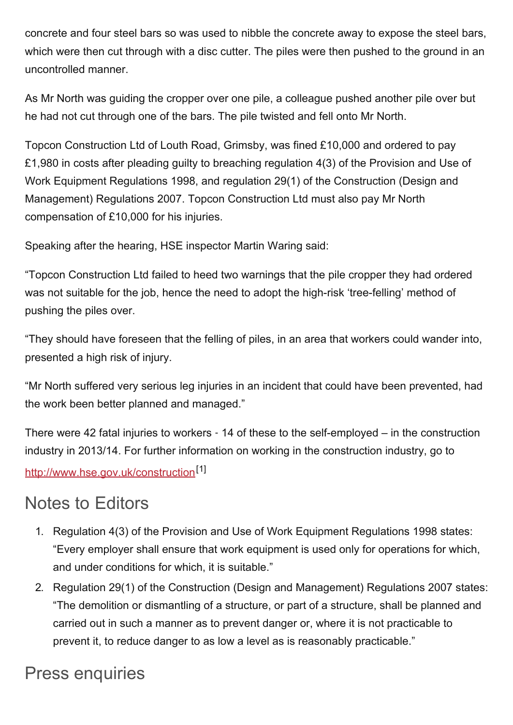concrete and four steel bars so was used to nibble the concrete away to expose the steel bars, which were then cut through with a disc cutter. The piles were then pushed to the ground in an uncontrolled manner.

As Mr North was guiding the cropper over one pile, a colleague pushed another pile over but he had not cut through one of the bars. The pile twisted and fell onto Mr North.

Topcon Construction Ltd of Louth Road, Grimsby, was fined £10,000 and ordered to pay £1,980 in costs after pleading guilty to breaching regulation 4(3) of the Provision and Use of Work Equipment Regulations 1998, and regulation 29(1) of the Construction (Design and Management) Regulations 2007. Topcon Construction Ltd must also pay Mr North compensation of £10,000 for his injuries.

Speaking after the hearing, HSE inspector Martin Waring said:

"Topcon Construction Ltd failed to heed two warnings that the pile cropper they had ordered was not suitable for the job, hence the need to adopt the high-risk 'tree-felling' method of pushing the piles over.

"They should have foreseen that the felling of piles, in an area that workers could wander into, presented a high risk of injury.

"Mr North suffered very serious leg injuries in an incident that could have been prevented, had the work been better planned and managed."

There were 42 fatal injuries to workers  $-14$  of these to the self-employed  $-$  in the construction industry in 2013/14. For further information on working in the construction industry, go to <http://www.hse.gov.uk/construction><sup>[1]</sup>

## Notes to Editors

- 1. Regulation 4(3) of the Provision and Use of Work Equipment Regulations 1998 states: "Every employer shall ensure that work equipment is used only for operations for which, and under conditions for which, it is suitable."
- 2. Regulation 29(1) of the Construction (Design and Management) Regulations 2007 states: "The demolition or dismantling of a structure, or part of a structure, shall be planned and carried out in such a manner as to prevent danger or, where it is not practicable to prevent it, to reduce danger to as low a level as is reasonably practicable."

## Press enquiries